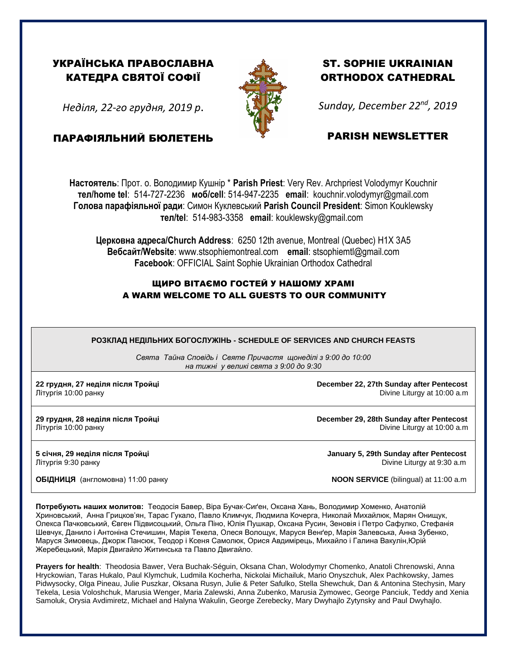## УКРАЇНСЬКА ПРАВОСЛАВНА КАТЕДРА СВЯТОЇ СОФІЇ

*Неділя, 22-го грудня, 2019 р*.

ПАРАФІЯЛЬНИЙ БЮЛЕТЕНЬ



## ST. SOPHIE UKRAINIAN ORTHODOX CATHEDRAL

*Sunday, December 22nd , 2019*

## PARISH NEWSLETTER

**Настоятель**: Прот. о. Володимир Кушнір \* **Parish Priest**: Very Rev. Archpriest Volodymyr Kouchnir **тел/home tel**: 514-727-2236 **моб/cell**: 514-947-2235 **email**: kouchnir.volodymyr@gmail.com **Голова парафіяльної ради**: Симон Куклевський **Parish Council President**: Simon Kouklewsky  **тел/tel**: 514-983-3358 **email**: kouklewsky@gmail.com

**Церковна адреса/Church Address**: 6250 12th avenue, Montreal (Quebec) H1X 3A5 **Вебсайт/Website**: www.stsophiemontreal.com **email**: stsophiemtl@gmail.com **Facebook**: OFFICIAL Saint Sophie Ukrainian Orthodox Cathedral

## ЩИРО ВІТАЄМО ГОСТЕЙ У НАШОМУ ХРАМІ A WARM WELCOME TO ALL GUESTS TO OUR COMMUNITY

**РОЗКЛАД НЕДІЛЬНИХ БОГОСЛУЖІНЬ - SCHEDULE OF SERVICES AND CHURCH FEASTS**

*Свята Тайна Сповідь і Святе Причастя щонеділі з 9:00 до 10:00 на тижні у великі свята з 9:00 до 9:30* 

**22 грудня, 27 неділя після Тройці December 22, 27th Sunday after Pentecost** Літургія 10:00 ранку Divine Liturgy at 10:00 a.m

**29 грудня, 28 неділя після Тройці December 29, 28th Sunday after Pentecost** Літургія 10:00 ранку Divine Liturgy at 10:00 a.m

**5 січня, 29 неділя після Тройці January 5, 29th Sunday after Pentecost** Літургія 9:30 ранку Divine Liturgy at 9:30 a.m

**ОБІДНИЦЯ** (англомовна) 11:00 ранку **NOON SERVICE** (bilingual) at 11:00 a.m

**Потребують наших молитов:** Теодосія Бавер, Віра Бучак-Сиґен, Оксана Хань, Володимир Хоменко, Анатолій Хриновський, Анна Грицков'ян, Тарас Гукало, Павло Климчук, Людмила Кочерга, Николай Михайлюк, Марян Онищук, Олекса Пачковський, Євген Підвисоцький, Ольгa Піно, Юлія Пушкар, Оксанa Русин, Зеновія і Петро Сафулко, Стефанія Шевчук, Данило і Антоніна Стечишин, Марія Текела, Олеся Волощук, Маруся Венґер, Марія Залевська, Анна Зубенко, Маруся Зимовець, Джорж Пансюк, Теодор і Ксеня Самолюк, Орися Авдимірець, Михайло і Галина Вакулін,Юрій Жеребецький, Марія Двигайло Житинська та Павло Двигайло.

**Prayers for health**: Theodosia Bawer, Vera Buchak-Séguin, Oksana Chan, Wolodymyr Chomenko, Anatoli Chrenowski, Anna Hryckowian, Taras Hukalo, Paul Klymchuk, Ludmila Kocherha, Nickolai Michailuk, Mario Onyszchuk, Alex Pachkowsky, James Pidwysocky, Olga Pineau, Julie Puszkar, Oksana Rusyn, Julie & Peter Safulko, Stella Shewchuk, Dan & Antonina Stechysin, Mary Tekela, Lesia Voloshchuk, Marusia Wenger, Maria Zalewski, Anna Zubenko, Marusia Zymowec, George Panciuk, Teddy and Xenia Samoluk, Orysia Avdimiretz, Michael and Halyna Wakulin, George Zerebecky, Mary Dwyhajlo Zytynsky and Paul Dwyhajlo.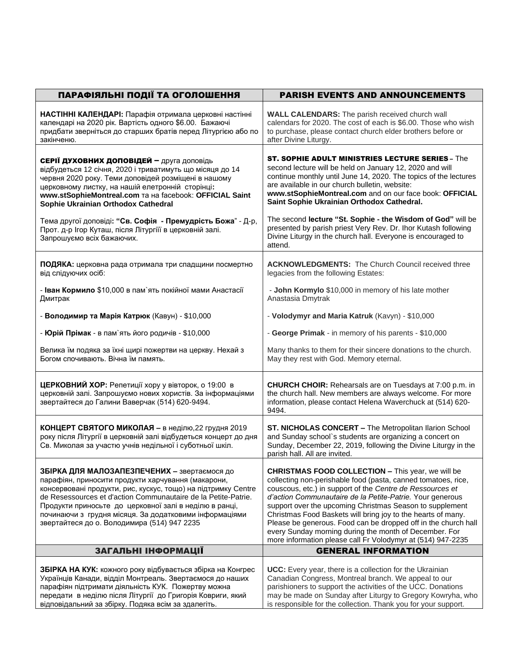| ПАРАФІЯЛЬНІ ПОДІЇ ТА ОГОЛОШЕННЯ                                                                                                                                                                                                                                                                                                                                                                          | <b>PARISH EVENTS AND ANNOUNCEMENTS</b>                                                                                                                                                                                                                                                                                                                                                                                                                                                                                                                                     |
|----------------------------------------------------------------------------------------------------------------------------------------------------------------------------------------------------------------------------------------------------------------------------------------------------------------------------------------------------------------------------------------------------------|----------------------------------------------------------------------------------------------------------------------------------------------------------------------------------------------------------------------------------------------------------------------------------------------------------------------------------------------------------------------------------------------------------------------------------------------------------------------------------------------------------------------------------------------------------------------------|
| НАСТІННІ КАЛЕНДАРІ: Парафія отримала церковні настінні<br>календарі на 2020 рік. Вартість одного \$6.00. Бажаючі<br>придбати зверніться до старших братів перед Літургією або по<br>закінченю.                                                                                                                                                                                                           | <b>WALL CALENDARS:</b> The parish received church wall<br>calendars for 2020. The cost of each is \$6.00. Those who wish<br>to purchase, please contact church elder brothers before or<br>after Divine Liturgy.                                                                                                                                                                                                                                                                                                                                                           |
| СЕРІЇ ДУХОВНИХ ДОПОВІДЕЙ - друга доповідь<br>відбудеться 12 січня, 2020 і триватимуть що місяця до 14<br>червня 2020 року. Теми доповідей розміщені в нашому<br>церковному листку, на нашій елетронній сторінці:<br>WWW.stSophieMontreal.com Ta Ha facebook: OFFICIAL Saint<br>Sophie Ukrainian Orthodox Cathedral                                                                                       | <b>ST. SOPHIE ADULT MINISTRIES LECTURE SERIES - The</b><br>second lecture will be held on January 12, 2020 and will<br>continue monthly until June 14, 2020. The topics of the lectures<br>are available in our church bulletin, website:<br>www.stSophieMontreal.com and on our face book: OFFICIAL<br>Saint Sophie Ukrainian Orthodox Cathedral.                                                                                                                                                                                                                         |
| Тема другої доповіді: "Св. Софія - Премудрість Божа" - Д-р,<br>Прот. д-р Ігор Куташ, після Літургіїї в церковній залі.<br>Запрошуємо всіх бажаючих.                                                                                                                                                                                                                                                      | The second lecture "St. Sophie - the Wisdom of God" will be<br>presented by parish priest Very Rev. Dr. Ihor Kutash following<br>Divine Liturgy in the church hall. Everyone is encouraged to<br>attend.                                                                                                                                                                                                                                                                                                                                                                   |
| ПОДЯКА: церковна рада отримала три спадщини посмертно<br>від слідуючих осіб:                                                                                                                                                                                                                                                                                                                             | <b>ACKNOWLEDGMENTS:</b> The Church Council received three<br>legacies from the following Estates:                                                                                                                                                                                                                                                                                                                                                                                                                                                                          |
| - Іван Кормило \$10,000 в пам`ять покійної мами Анастасії<br>Дмитрак                                                                                                                                                                                                                                                                                                                                     | - John Kormylo \$10,000 in memory of his late mother<br>Anastasia Dmytrak                                                                                                                                                                                                                                                                                                                                                                                                                                                                                                  |
| - Володимир та Марія Катрюк (Кавун) - \$10,000                                                                                                                                                                                                                                                                                                                                                           | - Volodymyr and Maria Katruk (Kavyn) - \$10,000                                                                                                                                                                                                                                                                                                                                                                                                                                                                                                                            |
| - Юрій Прімак - в пам`ять його родичів - \$10,000                                                                                                                                                                                                                                                                                                                                                        | - George Primak - in memory of his parents - \$10,000                                                                                                                                                                                                                                                                                                                                                                                                                                                                                                                      |
| Велика їм подяка за їхні щирі пожертви на церкву. Нехай з<br>Богом спочивають. Вічна їм память.                                                                                                                                                                                                                                                                                                          | Many thanks to them for their sincere donations to the church.<br>May they rest with God. Memory eternal.                                                                                                                                                                                                                                                                                                                                                                                                                                                                  |
| ЦЕРКОВНИЙ ХОР: Репетиції хору у вівторок, о 19:00 в<br>церковній залі. Запрошуємо нових хористів. За інформаціями<br>звертайтеся до Галини Ваверчак (514) 620-9494.                                                                                                                                                                                                                                      | <b>CHURCH CHOIR:</b> Rehearsals are on Tuesdays at 7:00 p.m. in<br>the church hall. New members are always welcome. For more<br>information, please contact Helena Waverchuck at (514) 620-<br>9494.                                                                                                                                                                                                                                                                                                                                                                       |
| КОНЦЕРТ СВЯТОГО МИКОЛАЯ - в неділю, 22 грудня 2019<br>року після Літургії в церковній залі відбудеться концерт до дня<br>Св. Миколая за участю учнів недільної і суботньої шкіл.                                                                                                                                                                                                                         | ST. NICHOLAS CONCERT - The Metropolitan Ilarion School<br>and Sunday school's students are organizing a concert on<br>Sunday, December 22, 2019, following the Divine Liturgy in the<br>parish hall. All are invited.                                                                                                                                                                                                                                                                                                                                                      |
| ЗБІРКА ДЛЯ МАЛОЗАПЕЗПЕЧЕНИХ - звертаємося до<br>парафіян, приносити продукти харчування (макарони,<br>консервовані продукти, рис, кускус, тощо) на підтримку Centre<br>de Resessources et d'action Communautaire de la Petite-Patrie.<br>Продукти приносьте до церковної залі в неділю в ранці,<br>починаючи з грудня місяця. За додатковими інформаціями<br>звертайтеся до о. Володимира (514) 947 2235 | <b>CHRISTMAS FOOD COLLECTION - This year, we will be</b><br>collecting non-perishable food (pasta, canned tomatoes, rice,<br>couscous, etc.) in support of the Centre de Ressources et<br>d'action Communautaire de la Petite-Patrie. Your generous<br>support over the upcoming Christmas Season to supplement<br>Christmas Food Baskets will bring joy to the hearts of many.<br>Please be generous. Food can be dropped off in the church hall<br>every Sunday morning during the month of December. For<br>more information please call Fr Volodymyr at (514) 947-2235 |
| ЗАГАЛЬНІ ІНФОРМАЦІЇ                                                                                                                                                                                                                                                                                                                                                                                      | <b>GENERAL INFORMATION</b>                                                                                                                                                                                                                                                                                                                                                                                                                                                                                                                                                 |
| ЗБІРКА НА КУК: кожного року відбувається збірка на Конгрес<br>Українців Канади, відділ Монтреаль. Звертаємося до наших<br>парафіян підтримати діяльність КУК. Пожертву можна<br>передати в неділю після Літургії до Григорія Ковриги, який<br>відповідальний за збірку. Подяка всім за здалегіть.                                                                                                        | UCC: Every year, there is a collection for the Ukrainian<br>Canadian Congress, Montreal branch. We appeal to our<br>parishioners to support the activities of the UCC. Donations<br>may be made on Sunday after Liturgy to Gregory Kowryha, who<br>is responsible for the collection. Thank you for your support.                                                                                                                                                                                                                                                          |